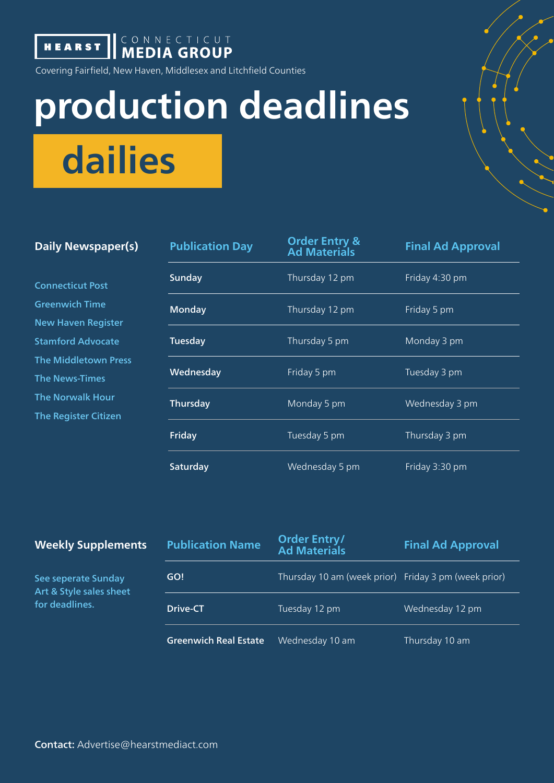**HEARST | CONNECTICUT** 

Covering Fairfield, New Haven, Middlesex and Litchfield Counties

## **production deadlines**

**dailies**

| <b>Daily Newspaper(s)</b> |  |
|---------------------------|--|
|---------------------------|--|

| Daily Newspaper(s)                                                                                                                                                                                                   | <b>Publication Day</b> | <b>Order Entry &amp;</b><br><b>Ad Materials</b> | <b>Final Ad Approval</b> |
|----------------------------------------------------------------------------------------------------------------------------------------------------------------------------------------------------------------------|------------------------|-------------------------------------------------|--------------------------|
| <b>Connecticut Post</b><br><b>Greenwich Time</b><br><b>New Haven Register</b><br><b>Stamford Advocate</b><br><b>The Middletown Press</b><br><b>The News-Times</b><br><b>The Norwalk Hour</b><br>The Register Citizen | <b>Sunday</b>          | Thursday 12 pm                                  | Friday 4:30 pm           |
|                                                                                                                                                                                                                      | <b>Monday</b>          | Thursday 12 pm                                  | Friday 5 pm              |
|                                                                                                                                                                                                                      | Tuesday                | Thursday 5 pm                                   | Monday 3 pm              |
|                                                                                                                                                                                                                      | Wednesday              | Friday 5 pm                                     | Tuesday 3 pm             |
|                                                                                                                                                                                                                      | Thursday               | Monday 5 pm                                     | Wednesday 3 pm           |
|                                                                                                                                                                                                                      | Friday                 | Tuesday 5 pm                                    | Thursday 3 pm            |
|                                                                                                                                                                                                                      | Saturday               | Wednesday 5 pm                                  | Friday 3:30 pm           |

| <b>Weekly Supplements</b> |  |
|---------------------------|--|
|---------------------------|--|

| <b>Weekly Supplements</b>                                        | <b>Publication Name</b>      | Order Entry/<br><b>Ad Materials</b>                  | <b>Final Ad Approval</b> |
|------------------------------------------------------------------|------------------------------|------------------------------------------------------|--------------------------|
| See seperate Sunday<br>Art & Style sales sheet<br>for deadlines. | GO!                          | Thursday 10 am (week prior) Friday 3 pm (week prior) |                          |
|                                                                  | Drive-CT                     | Tuesday 12 pm                                        | Wednesday 12 pm          |
|                                                                  | <b>Greenwich Real Estate</b> | Wednesday 10 am                                      | Thursday 10 am           |